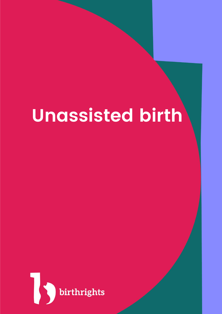# **Unassisted birth**

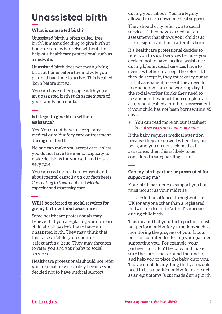## **Unassisted birth**

#### **What is unassisted birth?**

Unassisted birth is often called 'free birth'. It means deciding to give birth at home or somewhere else without the help of a healthcare professional such as a midwife.

Unassisted birth does not mean giving birth at home before the midwife you planned had time to arrive. This is called 'born before arrival'.

You can have other people with you at an unassisted birth such as members of your family or a doula.

#### **Is it legal to give birth without assistance?**

Yes. You do not have to accept any medical or midwifery care or treatment during childbirth.

No one can make you accept care unless you do not have the mental capacity to make decisions for yourself, and this is very rare.

You can read more about consent and about mental capacity on our factsheets *Consenting to treatment* and *Mental capacity and maternity care.* 

#### **Will I be referred to social services for giving birth without assistance?**

Some healthcare professionals may believe that you are placing your unborn child at risk by deciding to have an unassisted birth. They may think that this raises a 'child protection' or a 'safeguarding' issue. They may threaten to refer you and your baby to social services.

Healthcare professionals should not refer you to social services solely because you decided not to have medical support

during your labour. You are legally allowed to turn down medical support.

They should only refer you to social services if they have carried out an assessment that shows your child is at risk of significant harm after it is born.

If a healthcare professional decides to refer you to social services because you decided not to have medical assistance during labour, social services have to decide whether to accept the referral. If they do accept it, they must carry out an initial assessment to see if they need to take action within one working day. If the social worker thinks they need to take action they must then complete an assessment (called a pre-birth assessment if your child has not been born) within 45 days.

● You can read more on our factsheet *[Social services and maternity care.](https://www.birthrights.org.uk/factsheets/social-services-and-maternity-care/)*

If the baby requires medical attention because they are unwell when they are born, and you do not seek medical assistance, then this is likely to be considered a safeguarding issue.

#### **Can my birth partner be prosecuted for supporting me?**

Your birth partner can support you but must not act as your midwife.

It is a criminal offence throughout the UK for anyone other than a registered midwife or doctor to 'attend' someone during childbirth.

This means that your birth partner must not perform midwifery functions such as monitoring the progress of your labour but it is not intended to stop your partner supporting you. For example, your partner can 'catch' the baby and make sure the cord is not around their neck, and help you to place the baby onto you. They cannot do anything that you would need to be a qualified midwife to do, such as an episiotomy (a cut made during birth